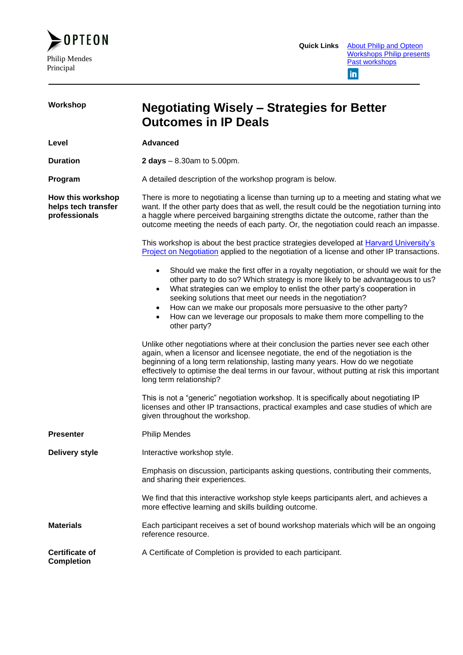

| Workshop                                                  | <b>Negotiating Wisely – Strategies for Better</b><br><b>Outcomes in IP Deals</b>                                                                                                                                                                                                                                                                                                                                                                                                                          |  |
|-----------------------------------------------------------|-----------------------------------------------------------------------------------------------------------------------------------------------------------------------------------------------------------------------------------------------------------------------------------------------------------------------------------------------------------------------------------------------------------------------------------------------------------------------------------------------------------|--|
| Level                                                     | <b>Advanced</b>                                                                                                                                                                                                                                                                                                                                                                                                                                                                                           |  |
| <b>Duration</b>                                           | <b>2 days</b> $- 8.30$ am to 5.00pm.                                                                                                                                                                                                                                                                                                                                                                                                                                                                      |  |
| Program                                                   | A detailed description of the workshop program is below.                                                                                                                                                                                                                                                                                                                                                                                                                                                  |  |
| How this workshop<br>helps tech transfer<br>professionals | There is more to negotiating a license than turning up to a meeting and stating what we<br>want. If the other party does that as well, the result could be the negotiation turning into<br>a haggle where perceived bargaining strengths dictate the outcome, rather than the<br>outcome meeting the needs of each party. Or, the negotiation could reach an impasse.                                                                                                                                     |  |
|                                                           | This workshop is about the best practice strategies developed at <b>Harvard University's</b><br>Project on Negotiation applied to the negotiation of a license and other IP transactions.                                                                                                                                                                                                                                                                                                                 |  |
|                                                           | Should we make the first offer in a royalty negotiation, or should we wait for the<br>$\bullet$<br>other party to do so? Which strategy is more likely to be advantageous to us?<br>What strategies can we employ to enlist the other party's cooperation in<br>٠<br>seeking solutions that meet our needs in the negotiation?<br>How can we make our proposals more persuasive to the other party?<br>$\bullet$<br>How can we leverage our proposals to make them more compelling to the<br>other party? |  |
|                                                           | Unlike other negotiations where at their conclusion the parties never see each other<br>again, when a licensor and licensee negotiate, the end of the negotiation is the<br>beginning of a long term relationship, lasting many years. How do we negotiate<br>effectively to optimise the deal terms in our favour, without putting at risk this important<br>long term relationship?                                                                                                                     |  |
|                                                           | This is not a "generic" negotiation workshop. It is specifically about negotiating IP<br>licenses and other IP transactions, practical examples and case studies of which are<br>given throughout the workshop.                                                                                                                                                                                                                                                                                           |  |
| <b>Presenter</b>                                          | <b>Philip Mendes</b>                                                                                                                                                                                                                                                                                                                                                                                                                                                                                      |  |
| <b>Delivery style</b>                                     | Interactive workshop style.                                                                                                                                                                                                                                                                                                                                                                                                                                                                               |  |
|                                                           | Emphasis on discussion, participants asking questions, contributing their comments,<br>and sharing their experiences.                                                                                                                                                                                                                                                                                                                                                                                     |  |
|                                                           | We find that this interactive workshop style keeps participants alert, and achieves a<br>more effective learning and skills building outcome.                                                                                                                                                                                                                                                                                                                                                             |  |
| <b>Materials</b>                                          | Each participant receives a set of bound workshop materials which will be an ongoing<br>reference resource.                                                                                                                                                                                                                                                                                                                                                                                               |  |
| <b>Certificate of</b><br><b>Completion</b>                | A Certificate of Completion is provided to each participant.                                                                                                                                                                                                                                                                                                                                                                                                                                              |  |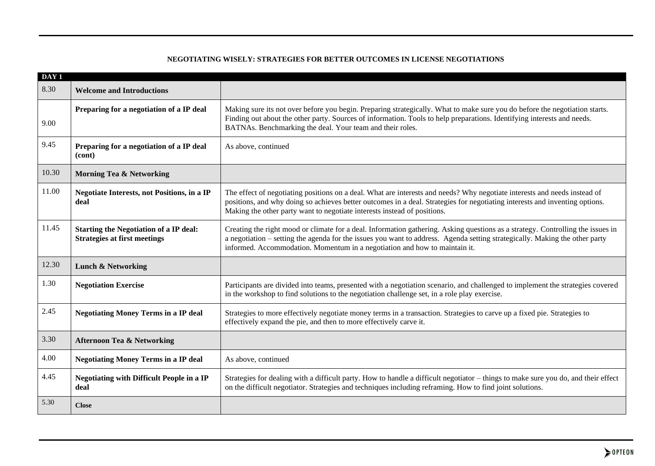## **NEGOTIATING WISELY: STRATEGIES FOR BETTER OUTCOMES IN LICENSE NEGOTIATIONS**

| DAY <sub>1</sub> |                                                                                      |                                                                                                                                                                                                                                                                                                                                              |
|------------------|--------------------------------------------------------------------------------------|----------------------------------------------------------------------------------------------------------------------------------------------------------------------------------------------------------------------------------------------------------------------------------------------------------------------------------------------|
| 8.30             | <b>Welcome and Introductions</b>                                                     |                                                                                                                                                                                                                                                                                                                                              |
| 9.00             | Preparing for a negotiation of a IP deal                                             | Making sure its not over before you begin. Preparing strategically. What to make sure you do before the negotiation starts.<br>Finding out about the other party. Sources of information. Tools to help preparations. Identifying interests and needs.<br>BATNAs. Benchmarking the deal. Your team and their roles.                          |
| 9.45             | Preparing for a negotiation of a IP deal<br>(cont)                                   | As above, continued                                                                                                                                                                                                                                                                                                                          |
| 10.30            | <b>Morning Tea &amp; Networking</b>                                                  |                                                                                                                                                                                                                                                                                                                                              |
| 11.00            | <b>Negotiate Interests, not Positions, in a IP</b><br>deal                           | The effect of negotiating positions on a deal. What are interests and needs? Why negotiate interests and needs instead of<br>positions, and why doing so achieves better outcomes in a deal. Strategies for negotiating interests and inventing options.<br>Making the other party want to negotiate interests instead of positions.         |
| 11.45            | <b>Starting the Negotiation of a IP deal:</b><br><b>Strategies at first meetings</b> | Creating the right mood or climate for a deal. Information gathering. Asking questions as a strategy. Controlling the issues in<br>a negotiation – setting the agenda for the issues you want to address. Agenda setting strategically. Making the other party<br>informed. Accommodation. Momentum in a negotiation and how to maintain it. |
| 12.30            | <b>Lunch &amp; Networking</b>                                                        |                                                                                                                                                                                                                                                                                                                                              |
| 1.30             | <b>Negotiation Exercise</b>                                                          | Participants are divided into teams, presented with a negotiation scenario, and challenged to implement the strategies covered<br>in the workshop to find solutions to the negotiation challenge set, in a role play exercise.                                                                                                               |
| 2.45             | <b>Negotiating Money Terms in a IP deal</b>                                          | Strategies to more effectively negotiate money terms in a transaction. Strategies to carve up a fixed pie. Strategies to<br>effectively expand the pie, and then to more effectively carve it.                                                                                                                                               |
| 3.30             | <b>Afternoon Tea &amp; Networking</b>                                                |                                                                                                                                                                                                                                                                                                                                              |
| 4.00             | <b>Negotiating Money Terms in a IP deal</b>                                          | As above, continued                                                                                                                                                                                                                                                                                                                          |
| 4.45             | <b>Negotiating with Difficult People in a IP</b><br>deal                             | Strategies for dealing with a difficult party. How to handle a difficult negotiator – things to make sure you do, and their effect<br>on the difficult negotiator. Strategies and techniques including reframing. How to find joint solutions.                                                                                               |
| 5.30             | <b>Close</b>                                                                         |                                                                                                                                                                                                                                                                                                                                              |